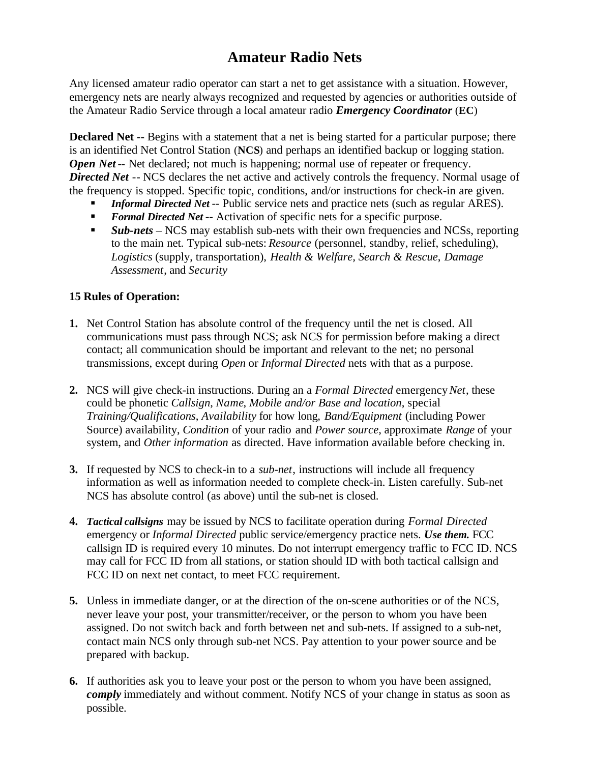## **Amateur Radio Nets**

Any licensed amateur radio operator can start a net to get assistance with a situation. However, emergency nets are nearly always recognized and requested by agencies or authorities outside of the Amateur Radio Service through a local amateur radio *Emergency Coordinator* (**EC**)

**Declared Net --** Begins with a statement that a net is being started for a particular purpose; there is an identified Net Control Station (**NCS**) and perhaps an identified backup or logging station. *Open Net* -- Net declared; not much is happening; normal use of repeater or frequency. **Directed Net** -- NCS declares the net active and actively controls the frequency. Normal usage of the frequency is stopped. Specific topic, conditions, and/or instructions for check-in are given.

- ß *Informal Directed Net* -- Public service nets and practice nets (such as regular ARES).
- ß *Formal Directed Net* -- Activation of specific nets for a specific purpose.
- *Sub-nets* NCS may establish sub-nets with their own frequencies and NCSs, reporting to the main net. Typical sub-nets: *Resource* (personnel, standby, relief, scheduling), *Logistics* (supply, transportation), *Health & Welfare, Search & Rescue*, *Damage Assessment*, and *Security*

## **15 Rules of Operation:**

- **1.** Net Control Station has absolute control of the frequency until the net is closed. All communications must pass through NCS; ask NCS for permission before making a direct contact; all communication should be important and relevant to the net; no personal transmissions, except during *Open* or *Informal Directed* nets with that as a purpose.
- **2.** NCS will give check-in instructions. During an a *Formal Directed* emergency *Net*, these could be phonetic *Callsign*, *Name*, *Mobile and/or Base and location*, special *Training/Qualifications*, *Availability* for how long, *Band/Equipment* (including Power Source) availability, *Condition* of your radio and *Power source*, approximate *Range* of your system, and *Other information* as directed. Have information available before checking in.
- **3.** If requested by NCS to check-in to a *sub-net*, instructions will include all frequency information as well as information needed to complete check-in. Listen carefully. Sub-net NCS has absolute control (as above) until the sub-net is closed.
- **4.** *Tactical callsigns* may be issued by NCS to facilitate operation during *Formal Directed* emergency or *Informal Directed* public service/emergency practice nets. *Use them.* FCC callsign ID is required every 10 minutes. Do not interrupt emergency traffic to FCC ID. NCS may call for FCC ID from all stations, or station should ID with both tactical callsign and FCC ID on next net contact, to meet FCC requirement.
- **5.** Unless in immediate danger, or at the direction of the on-scene authorities or of the NCS, never leave your post, your transmitter/receiver, or the person to whom you have been assigned. Do not switch back and forth between net and sub-nets. If assigned to a sub-net, contact main NCS only through sub-net NCS. Pay attention to your power source and be prepared with backup.
- **6.** If authorities ask you to leave your post or the person to whom you have been assigned, *comply* immediately and without comment. Notify NCS of your change in status as soon as possible.